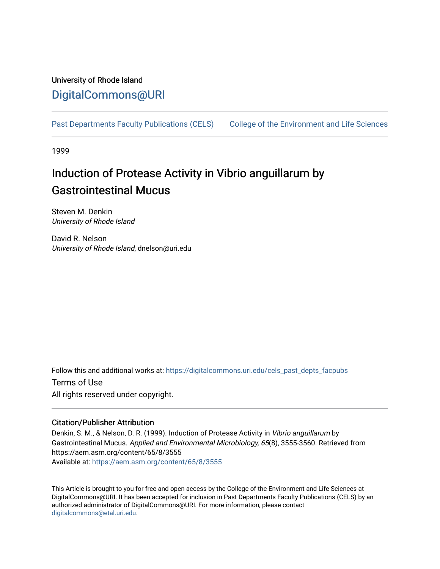## University of Rhode Island [DigitalCommons@URI](https://digitalcommons.uri.edu/)

[Past Departments Faculty Publications \(CELS\)](https://digitalcommons.uri.edu/cels_past_depts_facpubs) College of the Environment and Life Sciences

1999

# Induction of Protease Activity in Vibrio anguillarum by Gastrointestinal Mucus

Steven M. Denkin University of Rhode Island

David R. Nelson University of Rhode Island, dnelson@uri.edu

Follow this and additional works at: [https://digitalcommons.uri.edu/cels\\_past\\_depts\\_facpubs](https://digitalcommons.uri.edu/cels_past_depts_facpubs?utm_source=digitalcommons.uri.edu%2Fcels_past_depts_facpubs%2F2&utm_medium=PDF&utm_campaign=PDFCoverPages) 

Terms of Use All rights reserved under copyright.

### Citation/Publisher Attribution

Denkin, S. M., & Nelson, D. R. (1999). Induction of Protease Activity in Vibrio anguillarum by Gastrointestinal Mucus. Applied and Environmental Microbiology, 65(8), 3555-3560. Retrieved from https://aem.asm.org/content/65/8/3555 Available at:<https://aem.asm.org/content/65/8/3555>

This Article is brought to you for free and open access by the College of the Environment and Life Sciences at DigitalCommons@URI. It has been accepted for inclusion in Past Departments Faculty Publications (CELS) by an authorized administrator of DigitalCommons@URI. For more information, please contact [digitalcommons@etal.uri.edu](mailto:digitalcommons@etal.uri.edu).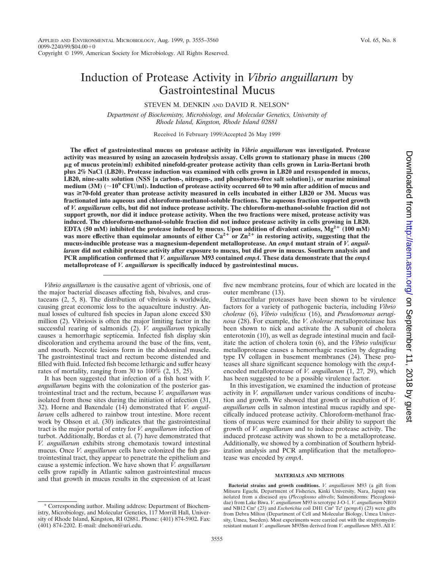## Induction of Protease Activity in *Vibrio anguillarum* by Gastrointestinal Mucus

#### STEVEN M. DENKIN AND DAVID R. NELSON\*

*Department of Biochemistry, Microbiology, and Molecular Genetics, University of Rhode Island, Kingston, Rhode Island 02881*

Received 16 February 1999/Accepted 26 May 1999

**The effect of gastrointestinal mucus on protease activity in** *Vibrio anguillarum* **was investigated. Protease activity was measured by using an azocasein hydrolysis assay. Cells grown to stationary phase in mucus (200** m**g of mucus protein/ml) exhibited ninefold-greater protease activity than cells grown in Luria-Bertani broth plus 2% NaCl (LB20). Protease induction was examined with cells grown in LB20 and resuspended in mucus, LB20, nine-salts solution (NSS [a carbon-, nitrogen-, and phosphorus-free salt solution]), or marine minimal medium (3M) (**;**109 CFU/ml). Induction of protease activity occurred 60 to 90 min after addition of mucus and was** ≥70-fold greater than protease activity measured in cells incubated in either LB20 or 3M. Mucus was **fractionated into aqueous and chloroform-methanol-soluble fractions. The aqueous fraction supported growth of** *V. anguillarum* **cells, but did not induce protease activity. The chloroform-methanol-soluble fraction did not support growth, nor did it induce protease activity. When the two fractions were mixed, protease activity was induced. The chloroform-methanol-soluble fraction did not induce protease activity in cells growing in LB20. EDTA (50 mM) inhibited the protease induced by mucus. Upon addition of divalent cations, Mg<sup>2+</sup> (100 mM)** was more effective than equimolar amounts of either  $Ca^{2+}$  or  $Zn^{2+}$  in restoring activity, suggesting that the **mucus-inducible protease was a magnesium-dependent metalloprotease. An** *empA* **mutant strain of** *V. anguillarum* **did not exhibit protease activity after exposure to mucus, but did grow in mucus. Southern analysis and PCR amplification confirmed that** *V. anguillarum* **M93 contained** *empA***. These data demonstrate that the** *empA* **metalloprotease of** *V. anguillarum* **is specifically induced by gastrointestinal mucus.**

*Vibrio anguillarum* is the causative agent of vibriosis, one of the major bacterial diseases affecting fish, bivalves, and crustaceans (2, 5, 8). The distribution of vibriosis is worldwide, causing great economic loss to the aquaculture industry. Annual losses of cultured fish species in Japan alone exceed \$30 million (2). Vibriosis is often the major limiting factor in the successful rearing of salmonids (2). *V. anguillarum* typically causes a hemorrhagic septicemia. Infected fish display skin discoloration and erythema around the base of the fins, vent, and mouth. Necrotic lesions form in the abdominal muscle. The gastrointestinal tract and rectum become distended and filled with fluid. Infected fish become lethargic and suffer heavy rates of mortality, ranging from 30 to  $100\%$  (2, 15, 25).

It has been suggested that infection of a fish host with *V. anguillarum* begins with the colonization of the posterior gastrointestinal tract and the rectum, because *V. anguillarum* was isolated from those sites during the initiation of infection (31, 32). Horne and Baxendale (14) demonstrated that *V. anguillarum* cells adhered to rainbow trout intestine. More recent work by Olsson et al. (30) indicates that the gastrointestinal tract is the major portal of entry for *V. anguillarum* infection of turbot. Additionally, Bordas et al. (7) have demonstrated that *V. anguillarum* exhibits strong chemotaxis toward intestinal mucus. Once *V. anguillarum* cells have colonized the fish gastrointestinal tract, they appear to penetrate the epithelium and cause a systemic infection. We have shown that *V. anguillarum* cells grow rapidly in Atlantic salmon gastrointestinal mucus and that growth in mucus results in the expression of at least Downloaded from http://aem.asm.org/ on September 11, 2018 by guest Downloaded from <http://aem.asm.org/> on September 11, 2018 by guest

five new membrane proteins, four of which are located in the outer membrane (13).

Extracellular proteases have been shown to be virulence factors for a variety of pathogenic bacteria, including *Vibrio cholerae* (6), *Vibrio vulnificus* (16), and *Pseudomonas aeruginosa* (28). For example, the *V. cholerae* metalloproteinase has been shown to nick and activate the A subunit of cholera enterotoxin (10), as well as degrade intestinal mucin and facilitate the action of cholera toxin (6), and the *Vibrio vulnificus* metalloprotease causes a hemorrhagic reaction by degrading type IV collagen in basement membranes (24). These proteases all share significant sequence homology with the *empA*encoded metalloprotease of *V. anguillarum* (1, 27, 29), which has been suggested to be a possible virulence factor.

In this investigation, we examined the induction of protease activity in *V. anguillarum* under various conditions of incubation and growth. We showed that growth or incubation of *V. anguillarum* cells in salmon intestinal mucus rapidly and specifically induced protease activity. Chloroform-methanol fractions of mucus were examined for their ability to support the growth of *V. anguillarum* and to induce protease activity. The induced protease activity was shown to be a metalloprotease. Additionally, we showed by a combination of Southern hybridization analysis and PCR amplification that the metalloprotease was encoded by *empA*.

#### **MATERIALS AND METHODS**

**Bacterial strains and growth conditions.** *V. anguillarum* M93 (a gift from Mitsuru Eguchi, Department of Fisheries, Kinki University, Nara, Japan) was isolated from a diseased ayu (*Plecoglossus altivelis*; Salmoniforms: Plecoglossidae) from Lake Biwa. *V. anguillarum* M93 is serotype J-O-1. *V. anguillarum* NB10 and NB12 Cm<sup>r</sup> (23) and *Escherichia coli* DH1 Cm<sup>r</sup> Tc<sup>r</sup> (pempA) (23) were gifts from Debra Milton (Department of Cell and Molecular Biology, Umea University, Umea, Sweden). Most experiments were carried out with the streptomycinresistant mutant *V. anguillarum* M93Sm derived from *V. anguillarum* M93. All *V.*

<sup>\*</sup> Corresponding author. Mailing address: Department of Biochemistry, Microbiology, and Molecular Genetics, 117 Morrill Hall, University of Rhode Island, Kingston, RI 02881. Phone: (401) 874-5902. Fax: (401) 874-2202. E-mail: dnelson@uri.edu.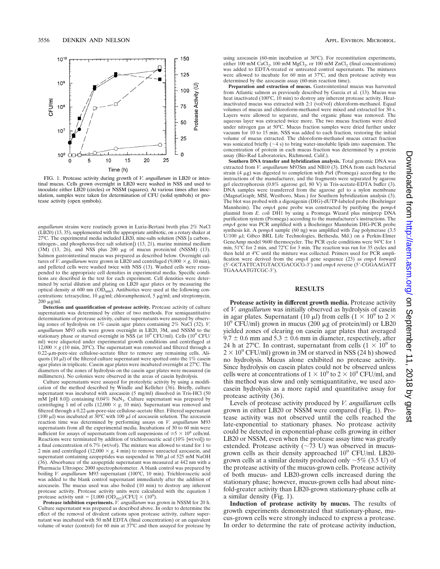

FIG. 1. Protease activity during growth of *V. anguillarum* in LB20 or intestinal mucus. Cells grown overnight in LB20 were washed in NSS and used to inoculate either LB20 (circles) or NSSM (squares). At various times after inoculation, samples were taken for determination of CFU (solid symbols) or protease activity (open symbols).

*anguillarum* strains were routinely grown in Luria-Bertani broth plus 2% NaCl (LB20) (13, 35), supplemented with the appropriate antibiotic, on a rotary shaker at 27°C. The experimental media included LB20, nine-salts solution (NSS [a carbon-, nitrogen-, and phosphorus-free salt solution]) (13, 21), marine minimal medium  $(3M)$   $(13, 26)$ , and NSS plus  $200 \mu g$  of mucus protein/ml  $(NSSM)$   $(13)$ . Salmon gastrointestinal mucus was prepared as described below. Overnight cultures of *V. anguillarum* were grown in LB20 and centrifuged  $(9,000 \times g, 10 \text{ min})$ , and pelleted cells were washed twice with NSS (13). Washed cells were resuspended to the appropriate cell densities in experimental media. Specific conditions are described in the text for each experiment. Cell densities were determined by serial dilution and plating on LB20 agar plates or by measuring the optical density at 600 nm  $\overline{(OD_{600})}$ . Antibiotics were used at the following concentrations: tetracycline, 10  $\mu$ g/ml; chloramphenicol, 5  $\mu$ g/ml; and streptomycin,  $200 \mu g/ml$ .

**Detection and quantification of protease activity.** Protease activity of culture supernatants was determined by either of two methods. For semiquantitative determinations of protease activity, culture supernatants were assayed by observing zones of hydrolysis on 1% casein agar plates containing 2% NaCl (32). *V. anguillarum* M93 cells were grown overnight in LB20, 3M, and NSSM to the stationary phase or starved overnight in NSS (at 10<sup>9</sup> CFU/ml). Cells (10<sup>9</sup> CFU/ ml) were aliquoted under experimental growth conditions and centrifuged at  $12,000 \times g$  (10 min, 20°C). The supernatant was removed and filtered through a 0.22-mm-pore-size cellulose-acetate filter to remove any remaining cells. Aliquots (10  $\mu$ ) of the filtered culture supernatant were spotted onto the 1% casein agar plates in triplicate. Casein agar plates were incubated overnight at 27°C. The diameters of the zones of hydrolysis on the casein agar plates were measured (in millimeters). No colonies were observed in the areas of casein hydrolysis.

Culture supernatants were assayed for proteolytic activity by using a modification of the method described by Windle and Kelleher (36). Briefly, culture supernatant was incubated with azocasein (5 mg/ml) dissolved in Tris-HCl (50 mM [pH 8.0]) containing 0.04% NaN<sub>3</sub>. Culture supernatant was prepared by centrifuging 1 ml of cells (12,000  $\times g$ , 10 min). Supernatant was removed and filtered through a 0.22-µm-pore-size cellulose-acetate filter. Filtered supernatant (100  $\mu$ l) was incubated at 30°C with 100  $\mu$ l of azocasein solution. The azocasein reaction time was determined by performing assays on *V. anguillarum* M93 supernatants from all the experimental media. Incubations of 30 to 60 min were sufficient for assays of supernatants from cell suspensions of  $\geq 5 \times 10^8$  cells/ml. Reactions were terminated by addition of trichloroacetic acid (10% [wt/vol]) to a final concentration of 6.7% (wt/vol). The mixture was allowed to stand for 1 to 2 min and centrifuged  $(12,000 \times g, 4 \text{ min})$  to remove unreacted azocasein, and supernatant containing azopeptides was suspended in 700  $\mu$ l of 525 mM NaOH (36). Absorbance of the azopeptide supernatant was measured at 442 nm with a Pharmacia Ultrospec 2000 spectrophotometer. A blank control was prepared by boiling *V. anguillarum* M93 supernatant (100°C, 10 min). Trichloroacetic acid was added to the blank control supernatant immediately after the addition of azocasein. The mucus used was also boiled (10 min) to destroy any inherent protease activity. Protease activity units were calculated with the equation 1 protease activity unit =  $[1,000 \text{ (OD}_{442})/\text{CFU}] \times (10^9)$ .

**Protease inhibition experiments.** *V. anguillarum* was grown in NSSM for 20 h. Culture supernatant was prepared as described above. In order to determine the effect of the removal of divalent cations upon protease activity, culture supernatant was incubated with 50 mM EDTA (final concentration) or an equivalent volume of water (control) for 60 min at 37°C and then assayed for protease by using azocasein (60-min incubation at 30°C). For reconstitution experiments, either 100 mM CaCl<sub>2</sub>, 100 mM MgCl<sub>2</sub>, or 100 mM ZnCl<sub>2</sub> (final concentrations) was added to EDTA-treated or untreated control supernatants. The mixtures were allowed to incubate for 60 min at 37°C, and then protease activity was determined by the azocasein assay (60-min reaction time).

**Preparation and extraction of mucus.** Gastrointestinal mucus was harvested from Atlantic salmon as previously described by Garcia et al. (13). Mucus was heat inactivated (100°C, 10 min) to destroy any inherent protease activity. Heatinactivated mucus was extracted with 2:1 (vol/vol) chloroform-methanol. Equal volumes of mucus and chloroform-methanol were mixed and extracted for 30 s. Layers were allowed to separate, and the organic phase was removed. The aqueous layer was extracted twice more. The two mucus fractions were dried under nitrogen gas at 50°C. Mucus fraction samples were dried further under vacuum for 10 to 15 min. NSS was added to each fraction, restoring the initial volume of mucus extracted. The chloroform-methanol mucus extract fraction was sonicated briefly  $(\sim 4 \text{ s})$  to bring water-insoluble lipids into suspension. The concentration of protein in each mucus fraction was determined by a protein assay (Bio-Rad Laboratories, Richmond, Calif.).

**Southern DNA transfer and hybridization analysis.** Total genomic DNA was extracted from *V. anguillarum* M93Sm and NB10 (3). DNA from each bacterial strain (4 mg) was digested to completion with *Pst*I (Promega) according to the instructions of the manufacturer, and the fragments were separated by agarose gel electrophoresis (0.8% agarose gel, 80 V) in Tris-acetate-EDTA buffer (3). DNA samples were transferred from the agarose gel to a nylon membrane (MagnaGraph; MSI, Westboro, Mass.) for Southern hybridization analysis (3). The blot was probed with a digoxigenin (DIG)-dUTP-labeled probe (Boehringer Mannheim). The *empA* gene probe was constructed by purifying the p*empA* plasmid from *E. coli* DH1 by using a Promega Wizard plus miniprep DNA purification system (Promega) according to the manufacturer's instructions. The *empA* gene was PCR amplified with a Boehringer Mannheim DIG-PCR probe synthesis kit. A p*empA* sample (60 ng) was amplified with *Taq* polymerase (3.5 U/100 ml; Gibco BRL Life Technologies, Bethesda, Md.) on a Perkin-Elmer GeneAmp model 9600 thermocycler. The PCR cycle conditions were 94°C for 1 min, 51°C for 2 min, and 72°C for 3 min. The reaction was run for 35 cycles and then held at 4°C until the mixture was collected. Primers used for PCR amplification were derived from the *empA* gene sequence (23) as *empA* forward (5'-GCTATTCATGTACCGACGCG-3') and *empA* reverse (5'-CGGAAGATT TGAAAATGTCGC-3′).

#### **RESULTS**

**Protease activity in different growth media.** Protease activity of *V. anguillarum* was initially observed as hydrolysis of casein in agar plates. Supernatant (10  $\mu$ l) from cells (1  $\times$  10<sup>9</sup> to 2  $\times$  $10^9$  CFU/ml) grown in mucus (200  $\mu$ g of protein/ml) or LB20 yielded zones of clearing on casein agar plates that averaged  $9.7 \pm 0.6$  mm and  $5.3 \pm 0.6$  mm in diameter, respectively, after 24 h at 27°C. In contrast, supernatant from cells  $(1 \times 10^9)$  to  $2 \times 10^9$  CFU/ml) grown in 3M or starved in NSS (24 h) showed no hydrolysis. Mucus alone exhibited no protease activity. Since hydrolysis on casein plates could not be observed unless cells were at concentrations of  $1 \times 10^9$  to  $2 \times 10^9$  CFU/ml, and this method was slow and only semiquantitative, we used azocasein hydrolysis as a more rapid and quantitative assay for protease activity (36).

Levels of protease activity produced by *V. anguillarum* cells grown in either LB20 or NSSM were compared (Fig. 1). Protease activity was not observed until the cells reached the late-exponential to stationary phases. No protease activity could be detected in exponential-phase cells growing in either LB20 or NSSM, even when the protease assay time was greatly extended. Protease activity ( $\sim$ 73 U) was observed in mucusgrown cells as their density approached 109 CFU/ml. LB20 grown cells at a similar density produced only  $\sim$  5% (3.5 U) of the protease activity of the mucus-grown cells. Protease activity of both mucus- and LB20-grown cells increased during the stationary phase; however, mucus-grown cells had about ninefold-greater activity than LB20-grown stationary-phase cells at a similar density (Fig. 1).

**Induction of protease activity by mucus.** The results of growth experiments demonstrated that stationary-phase, mucus-grown cells were strongly induced to express a protease. In order to determine the rate of protease activity induction,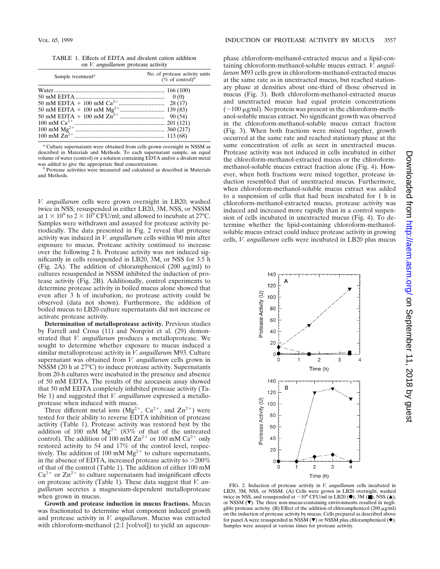TABLE 1. Effects of EDTA and divalent cation addition on *V. anguillarum* protease activity

| Sample treatment <sup>a</sup> | No. of protease activity units<br>$(\%$ of control) <sup>b</sup> |
|-------------------------------|------------------------------------------------------------------|
|                               |                                                                  |
|                               |                                                                  |
|                               |                                                                  |
|                               |                                                                  |
|                               |                                                                  |
|                               |                                                                  |
|                               |                                                                  |
|                               |                                                                  |

*<sup>a</sup>* Culture supernatants were obtained from cells grown overnight in NSSM as described in Materials and Methods. To each supernatant sample, an equal volume of water (control) or a solution containing EDTA and/or a divalent metal was added to give the appropriate final concentrations.

<sup>*b*</sup> Protease activities were measured and calculated as described in Materials and Methods.

*V. anguillarum* cells were grown overnight in LB20; washed twice in NSS; resuspended in either LB20, 3M, NSS, or NSSM at  $1 \times 10^9$  to  $2 \times 10^9$  CFU/ml; and allowed to incubate at 27°C. Samples were withdrawn and assayed for protease activity periodically. The data presented in Fig. 2 reveal that protease activity was induced in *V. anguillarum* cells within 90 min after exposure to mucus. Protease activity continued to increase over the following 2 h. Protease activity was not induced significantly in cells resuspended in LB20, 3M, or NSS for 3.5 h (Fig. 2A). The addition of chloramphenicol  $(200 \mu g/ml)$  to cultures resuspended in NSSM inhibited the induction of protease activity (Fig. 2B). Additionally, control experiments to determine protease activity in boiled mucus alone showed that even after 3 h of incubation, no protease activity could be observed (data not shown). Furthermore, the addition of boiled mucus to LB20 culture supernatants did not increase or activate protease activity.

**Determination of metalloprotease activity.** Previous studies by Farrell and Crosa (11) and Norqvist et al. (29) demonstrated that *V. anguillarum* produces a metalloprotease. We sought to determine whether exposure to mucus induced a similar metalloprotease activity in *V. anguillarum* M93. Culture supernatant was obtained from *V. anguillarum* cells grown in NSSM (20 h at 27°C) to induce protease activity. Supernatants from 20-h cultures were incubated in the presence and absence of 50 mM EDTA. The results of the azocasein assay showed that 50 mM EDTA completely inhibited protease activity (Table 1) and suggested that *V. anguillarum* expressed a metallo-

protease when induced with mucus.<br>Three different metal ions  $(Mg^{2+}, Ca^{2+}, and Zn^{2+})$  were tested for their ability to reverse EDTA inhibition of protease activity (Table 1). Protease activity was restored best by the addition of 100 mM  $Mg^{2+}$  (83% of that of the untreated control). The addition of 100 mM  $\text{Zn}^{2+}$  or 100 mM  $\text{Ca}^{2+}$  only restored activity to 54 and 17% of the control level, respectively. The addition of 100 mM  $Mg^{2+}$  to culture supernatants, in the absence of EDTA, increased protease activity to  $>200\%$ of that of the control (Table 1). The addition of either 100 mM  $Ca^{2+}$  or  $Zn^{2+}$  to culture supernatants had insignificant effects on protease activity (Table 1). These data suggest that *V. anguillarum* secretes a magnesium-dependent metalloprotease when grown in mucus.

**Growth and protease induction in mucus fractions.** Mucus was fractionated to determine what component induced growth and protease activity in *V. anguillarum*. Mucus was extracted with chloroform-methanol (2:1 [vol/vol]) to yield an aqueous-

phase chloroform-methanol-extracted mucus and a lipid-containing chloroform-methanol-soluble mucus extract. *V. anguillarum* M93 cells grew in chloroform-methanol-extracted mucus at the same rate as in unextracted mucus, but reached stationary phase at densities about one-third of those observed in mucus (Fig. 3). Both chloroform-methanol-extracted mucus and unextracted mucus had equal protein concentrations  $(-100 \mu g/ml)$ . No protein was present in the chloroform-methanol-soluble mucus extract. No significant growth was observed in the chloroform-methanol-soluble mucus extract fraction (Fig. 3). When both fractions were mixed together, growth occurred at the same rate and reached stationary phase at the same concentration of cells as seen in unextracted mucus. Protease activity was not induced in cells incubated in either the chloroform-methanol-extracted mucus or the chloroformmethanol-soluble mucus extract fraction alone (Fig. 4). However, when both fractions were mixed together, protease induction resembled that of unextracted mucus. Furthermore, when chloroform-methanol-soluble mucus extract was added to a suspension of cells that had been incubated for 1 h in chloroform-methanol-extracted mucus, protease activity was induced and increased more rapidly than in a control suspension of cells incubated in unextracted mucus (Fig. 4). To determine whether the lipid-containing chloroform-methanolsoluble mucus extract could induce protease activity in growing cells, *V. anguillarum* cells were incubated in LB20 plus mucus



FIG. 2. Induction of protease activity in *V. anguillarum* cells incubated in LB20, 3M, NSS, or NSSM. (A) Cells were grown in LB20 overnight, washed twice in NSS, and resuspended at  $\sim$ 10<sup>9</sup> CFU/ml in LB20 ( $\bullet$ ), 3M ( $\Box$ ), NSS ( $\triangle$ ), or NSSM  $(\nabla)$ . The three non-mucus-containing environments resulted in negligible protease activity. (B) Effect of the addition of chloramphenicol (200  $\mu$ g/ml) on the induction of protease activity by mucus. Cells prepared as described above for panel A were resuspended in NSSM ( $\nabla$ ) or NSSM plus chloramphenicol ( $\blacklozenge$ ). Samples were assayed at various times for protease activity.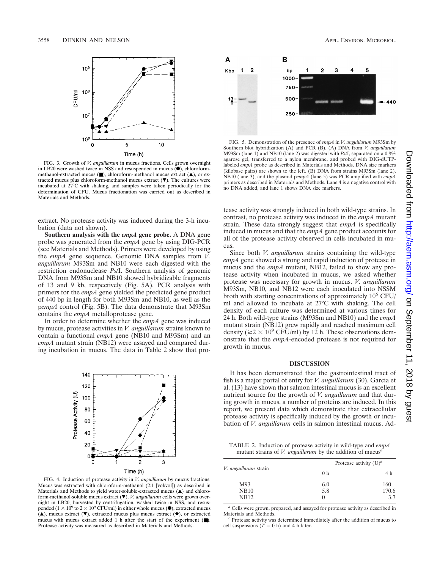

FIG. 3. Growth of *V. anguillarum* in mucus fractions. Cells grown overnight in LB20 were washed twice in NSS and resuspended in mucus ( $\bullet$ ), chloroformmethanol-extracted mucus ( $\blacksquare$ ), chloroform-methanol mucus extract ( $\blacktriangle$ ), or extracted mucus plus chloroform-methanol mucus extract  $(\nabla)$ . The cultures were incubated at 27°C with shaking, and samples were taken periodically for the determination of CFU. Mucus fractionation was carried out as described in Materials and Methods.

extract. No protease activity was induced during the 3-h incubation (data not shown).

**Southern analysis with the** *empA* **gene probe.** A DNA gene probe was generated from the *empA* gene by using DIG-PCR (see Materials and Methods). Primers were developed by using the *empA* gene sequence. Genomic DNA samples from *V. anguillarum* M93Sm and NB10 were each digested with the restriction endonuclease *Pst*I. Southern analysis of genomic DNA from M93Sm and NB10 showed hybridizable fragments of 13 and 9 kb, respectively (Fig. 5A). PCR analysis with primers for the *empA* gene yielded the predicted gene product of 440 bp in length for both M93Sm and NB10, as well as the p*empA* control (Fig. 5B). The data demonstrate that M93Sm contains the *empA* metalloprotease gene.

In order to determine whether the *empA* gene was induced by mucus, protease activities in *V. anguillarum* strains known to contain a functional *empA* gene (NB10 and M93Sm) and an *empA* mutant strain (NB12) were assayed and compared during incubation in mucus. The data in Table 2 show that pro-



FIG. 4. Induction of protease activity in *V. anguillarum* by mucus fractions. Mucus was extracted with chloroform-methanol (2:1 [vol/vol]) as described in Materials and Methods to yield water-soluble-extracted mucus  $($ **A** $)$  and chloroform-methanol-soluble mucus extract ( $\nabla$ ). *V. anguillarum* cells were grown overnight in LB20, harvested by centrifugation, washed twice in NSS, and resuspended ( $1 \times 10^9$  to  $2 \times 10^9$  CFU/ml) in either whole mucus ( $\bullet$ ), extracted mucus  $(\triangle)$ , mucus extract ( $\nabla$ ), extracted mucus plus mucus extract ( $\blacklozenge$ ), or extracted mucus with mucus extract added 1 h after the start of the experiment (■). Protease activity was measured as described in Materials and Methods.



FIG. 5. Demonstration of the presence of *empA* in *V. anguillarum* M93Sm by Southern blot hybridization (A) and PCR (B). (A) DNA from *V. anguillarum* M93Sm (lane 1) and NB10 (lane 2) was digested with *Pst*I, separated on a 0.8% agarose gel, transferred to a nylon membrane, and probed with DIG-dUTPlabeled *empA* probe as described in Materials and Methods. DNA size markers (kilobase pairs) are shown to the left. (B) DNA from strains M93Sm (lane 2), NB10 (lane 3), and the plasmid p*empA* (lane 5) was PCR amplified with *empA* primers as described in Materials and Methods. Lane 4 is a negative control with no DNA added, and lane 1 shows DNA size markers.

tease activity was strongly induced in both wild-type strains. In contrast, no protease activity was induced in the *empA* mutant strain. These data strongly suggest that *empA* is specifically induced in mucus and that the *empA* gene product accounts for all of the protease activity observed in cells incubated in mucus.

Since both *V. anguillarum* strains containing the wild-type *empA* gene showed a strong and rapid induction of protease in mucus and the *empA* mutant, NB12, failed to show any protease activity when incubated in mucus, we asked whether protease was necessary for growth in mucus. *V. anguillarum* M93Sm, NB10, and NB12 were each inoculated into NSSM broth with starting concentrations of approximately  $10^6$  CFU/ ml and allowed to incubate at 27°C with shaking. The cell density of each culture was determined at various times for 24 h. Both wild-type strains (M93Sm and NB10) and the *empA* mutant strain (NB12) grew rapidly and reached maximum cell density ( $\ge 2 \times 10^9$  CFU/ml) by 12 h. These observations demonstrate that the *empA*-encoded protease is not required for growth in mucus.

#### **DISCUSSION**

It has been demonstrated that the gastrointestinal tract of fish is a major portal of entry for *V. anguillarum* (30). Garcia et al. (13) have shown that salmon intestinal mucus is an excellent nutrient source for the growth of *V. anguillarum* and that during growth in mucus, a number of proteins are induced. In this report, we present data which demonstrate that extracellular protease activity is specifically induced by the growth or incubation of *V. anguillarum* cells in salmon intestinal mucus. Ad-

TABLE 2. Induction of protease activity in wild-type and *empA* mutant strains of *V. anguillarum* by the addition of mucus*<sup>a</sup>*

| <i>V. anguillarum</i> strain | Protease activity $(U)^b$ |       |
|------------------------------|---------------------------|-------|
|                              | 0 <sub>h</sub>            | 4 h   |
| M93                          | 6.0                       | 160   |
| <b>NB10</b>                  | 5.8                       | 170.6 |
| <b>NB12</b>                  | $\cup$                    | 3.7   |

<sup>a</sup> Cells were grown, prepared, and assayed for protease activity as described in Materials and Methods.

<sup>*b*</sup> Protease activity was determined immediately after the addition of mucus to cell suspensions  $(T = 0 h)$  and 4 h later.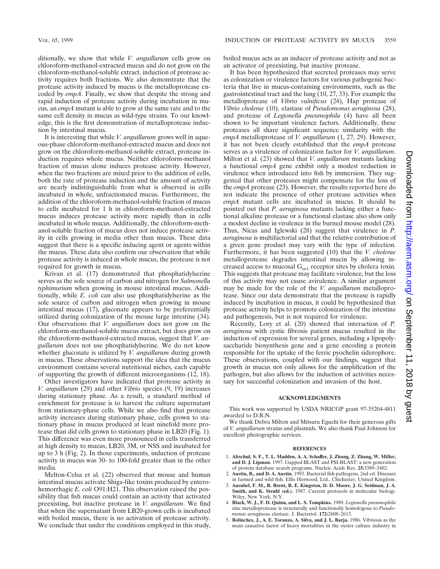ditionally, we show that while *V. anguillarum* cells grow on chloroform-methanol-extracted mucus and do not grow on the chloroform-methanol-soluble extract, induction of protease activity requires both fractions. We also demonstrate that the protease activity induced by mucus is the metalloprotease encoded by *empA*. Finally, we show that despite the strong and rapid induction of protease activity during incubation in mucus, an *empA* mutant is able to grow at the same rate and to the same cell density in mucus as wild-type strains. To our knowledge, this is the first demonstration of metalloprotease induction by intestinal mucus.

It is interesting that while *V. anguillarum* grows well in aqueous-phase chloroform-methanol-extracted mucus and does not grow on the chloroform-methanol-soluble extract, protease induction requires whole mucus. Neither chloroform-methanol fraction of mucus alone induces protease activity. However, when the two fractions are mixed prior to the addition of cells, both the rate of protease induction and the amount of activity are nearly indistinguishable from what is observed in cells incubated in whole, unfractionated mucus. Furthermore, the addition of the chloroform-methanol-soluble fraction of mucus to cells incubated for 1 h in chloroform-methanol-extracted mucus induces protease activity more rapidly than in cells incubated in whole mucus. Additionally, the chloroform-methanol-soluble fraction of mucus does not induce protease activity in cells growing in media other than mucus. These data suggest that there is a specific inducing agent or agents within the mucus. These data also confirm our observation that while protease activity is induced in whole mucus, the protease is not required for growth in mucus.

Krivan et al. (17) demonstrated that phosphatidylserine serves as the sole source of carbon and nitrogen for *Salmonella typhimurium* when growing in mouse intestinal mucus. Additionally, while *E. coli* can also use phosphatidylserine as the sole source of carbon and nitrogen when growing in mouse intestinal mucus (17), gluconate appears to be preferentially utilized during colonization of the mouse large intestine (34). Our observations that *V. anguillarum* does not grow on the chloroform-methanol-soluble mucus extract, but does grow on the chloroform-methanol-extracted mucus, suggest that *V. anguillarum* does not use phosphatidylserine. We do not know whether gluconate is utilized by *V. anguillarum* during growth in mucus. These observations support the idea that the mucus environment contains several nutritional niches, each capable of supporting the growth of different microorganisms (12, 18).

Other investigators have indicated that protease activity in *V. anguillarum* (29) and other *Vibrio* species (9, 19) increases during stationary phase. As a result, a standard method of enrichment for protease is to harvest the culture supernatant from stationary-phase cells. While we also find that protease activity increases during stationary phase, cells grown to stationary phase in mucus produced at least ninefold more protease than did cells grown to stationary phase in LB20 (Fig. 1). This difference was even more pronounced in cells transferred at high density to mucus, LB20, 3M, or NSS and incubated for up to 3 h (Fig. 2). In those experiments, induction of protease activity in mucus was 30- to 100-fold greater than in the other media.

Melton-Celsa et al. (22) observed that mouse and human intestinal mucus activate Shiga-like toxins produced by enterohemorrhagic *E. coli* O91:H21. This observation raised the possibility that fish mucus could contain an activity that activated preexisting, but inactive protease in *V. anguillarum*. We find that when the supernatant from LB20-grown cells is incubated with boiled mucus, there is no activation of protease activity. We conclude that under the conditions employed in this study, boiled mucus acts as an inducer of protease activity and not as an activator of preexisting, but inactive protease.

It has been hypothesized that secreted proteases may serve as colonization or virulence factors for various pathogenic bacteria that live in mucus-containing environments, such as the gastrointestinal tract and the lung (10, 27, 33). For example the metalloprotease of *Vibrio vulnificus* (24), Hap protease of *Vibrio cholerae* (10), elastase of *Pseudomonas aeruginosa* (28), and protease of *Legionella pneumophila* (4) have all been shown to be important virulence factors. Additionally, these proteases all share significant sequence similarity with the *empA* metalloprotease of *V. anguillarum* (1, 27, 29). However, it has not been clearly established that the *empA* protease serves as a virulence of colonization factor for *V. anguillarum*. Milton et al. (23) showed that *V. anguillarum* mutants lacking a functional *empA* gene exhibit only a modest reduction in virulence when introduced into fish by immersion. They suggested that other proteases might compensate for the loss of the *empA* protease (23). However, the results reported here do not indicate the presence of other protease activities when *empA* mutant cells are incubated in mucus. It should be pointed out that *P. aeruginosa* mutants lacking either a functional alkaline protease or a functional elastase also show only a modest decline in virulence in the burned mouse model (28). Thus, Nicas and Iglewski (28) suggest that virulence in *P. aeruginosa* is multifactorial and that the relative contribution of a given gene product may vary with the type of infection. Furthermore, it has been suggested (10) that the *V. cholerae* metalloprotease degrades intestinal mucin by allowing increased access to mucosal  $G_{m1}$  receptor sites by cholera toxin. This suggests that protease may facilitate virulence, but the loss of this activity may not cause avirulence. A similar argument may be made for the role of the *V. anguillarum* metalloprotease. Since our data demonstrate that the protease is rapidly induced by incubation in mucus, it could be hypothesized that protease activity helps to promote colonization of the intestine and pathogenesis, but is not required for virulence.

Recently, Lory et al. (20) showed that interaction of *P. aeruginosa* with cystic fibrosis patient mucus resulted in the induction of expression for several genes, including a lipopolysaccharide biosynthesis gene and a gene encoding a protein responsible for the uptake of the ferric pyochelin siderophore. These observations, coupled with our findings, suggest that growth in mucus not only allows for the amplification of the pathogen, but also allows for the induction of activities necessary for successful colonization and invasion of the host.

#### **ACKNOWLEDGMENTS**

This work was supported by USDA NRICGP grant 97-35204-4811 awarded to D.R.N.

We thank Debra Milton and Mitsuru Eguchi for their generous gifts of *V. anguillarum* strains and plasmids. We also thank Paul Johnson for excellent photographic services.

#### **REFERENCES**

- 1. **Altschul, S. F., T. L. Madden, A. A. Schaffer, J. Zhang, Z. Zhang, W. Miller, and D. J. Lipman.** 1997. Gapped BLAST and PSI-BLAST: a new generation of protein database search programs. Nucleic Acids Res. **25:**3389–3402.
- 2. **Austin, B., and D. A. Austin.** 1993. Bacterial fish pathogens, 2nd ed. Diseases in farmed and wild fish. Ellis Horwood, Ltd., Chichester, United Kingdom.
- 3. **Ausubel, F. M., R. Brent, R. E. Kingston, D. D. Moore, J. G. Seidman, J. A. Smith, and K. Struhl (ed.).** 1987. Current protocols in molecular biology. Wiley, New York, N.Y.
- 4. **Black, W. J., F. D. Quinn, and L. S. Tompkins.** 1989. *Legionella pneumophila* zinc metalloprotease is structurally and functionally homologous to *Pseudomonas aeruginosa* elastase. J. Bacteriol. **172:**2608–2613.
- 5. **Bolinches, J., A. E. Toranzo, A. Silva, and J. L. Barja.** 1986. Vibriosis as the main causative factor of heavy mortalities in the oyster culture industry in